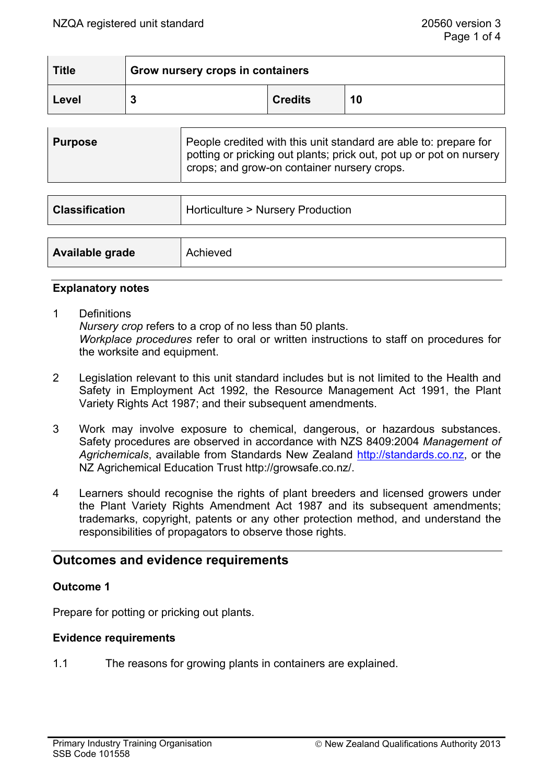| <b>Title</b> | Grow nursery crops in containers |                |    |
|--------------|----------------------------------|----------------|----|
| Level        |                                  | <b>Credits</b> | 10 |

| <b>Purpose</b> | People credited with this unit standard are able to: prepare for<br>potting or pricking out plants; prick out, pot up or pot on nursery<br>crops; and grow-on container nursery crops. |
|----------------|----------------------------------------------------------------------------------------------------------------------------------------------------------------------------------------|
|                |                                                                                                                                                                                        |

| <b>Classification</b> | Horticulture > Nursery Production |  |
|-----------------------|-----------------------------------|--|
|                       |                                   |  |
| Available grade       | Achieved                          |  |

#### **Explanatory notes**

- 1 Definitions *Nursery crop* refers to a crop of no less than 50 plants.  *Workplace procedures* refer to oral or written instructions to staff on procedures for the worksite and equipment.
- 2 Legislation relevant to this unit standard includes but is not limited to the Health and Safety in Employment Act 1992, the Resource Management Act 1991, the Plant Variety Rights Act 1987; and their subsequent amendments.
- 3 Work may involve exposure to chemical, dangerous, or hazardous substances. Safety procedures are observed in accordance with NZS 8409:2004 *Management of Agrichemicals*, available from Standards New Zealand http://standards.co.nz, or the NZ Agrichemical Education Trust http://growsafe.co.nz/.
- 4 Learners should recognise the rights of plant breeders and licensed growers under the Plant Variety Rights Amendment Act 1987 and its subsequent amendments; trademarks, copyright, patents or any other protection method, and understand the responsibilities of propagators to observe those rights.

# **Outcomes and evidence requirements**

### **Outcome 1**

Prepare for potting or pricking out plants.

### **Evidence requirements**

1.1 The reasons for growing plants in containers are explained.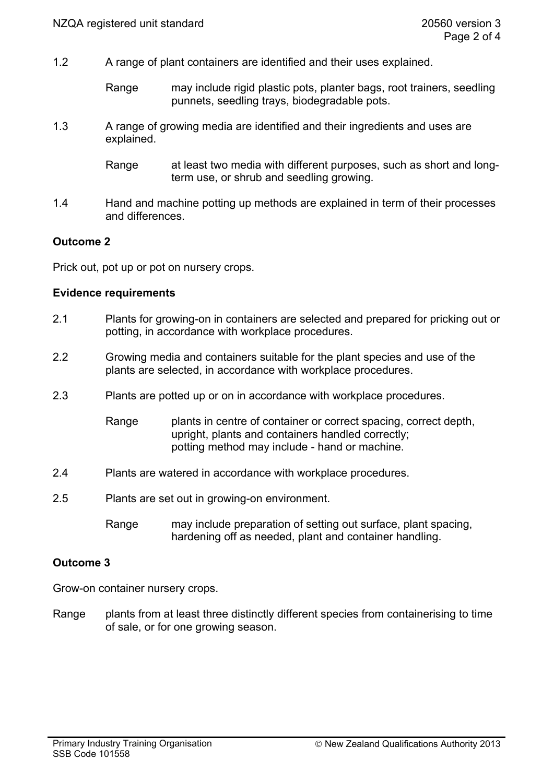- 1.2 A range of plant containers are identified and their uses explained.
	- Range may include rigid plastic pots, planter bags, root trainers, seedling punnets, seedling trays, biodegradable pots.
- 1.3 A range of growing media are identified and their ingredients and uses are explained.
	- Range at least two media with different purposes, such as short and longterm use, or shrub and seedling growing.
- 1.4 Hand and machine potting up methods are explained in term of their processes and differences.

## **Outcome 2**

Prick out, pot up or pot on nursery crops.

#### **Evidence requirements**

- 2.1 Plants for growing-on in containers are selected and prepared for pricking out or potting, in accordance with workplace procedures.
- 2.2 Growing media and containers suitable for the plant species and use of the plants are selected, in accordance with workplace procedures.
- 2.3 Plants are potted up or on in accordance with workplace procedures.

Range plants in centre of container or correct spacing, correct depth, upright, plants and containers handled correctly; potting method may include - hand or machine.

- 2.4 Plants are watered in accordance with workplace procedures.
- 2.5 Plants are set out in growing-on environment.
	- Range may include preparation of setting out surface, plant spacing, hardening off as needed, plant and container handling.

### **Outcome 3**

Grow-on container nursery crops.

Range plants from at least three distinctly different species from containerising to time of sale, or for one growing season.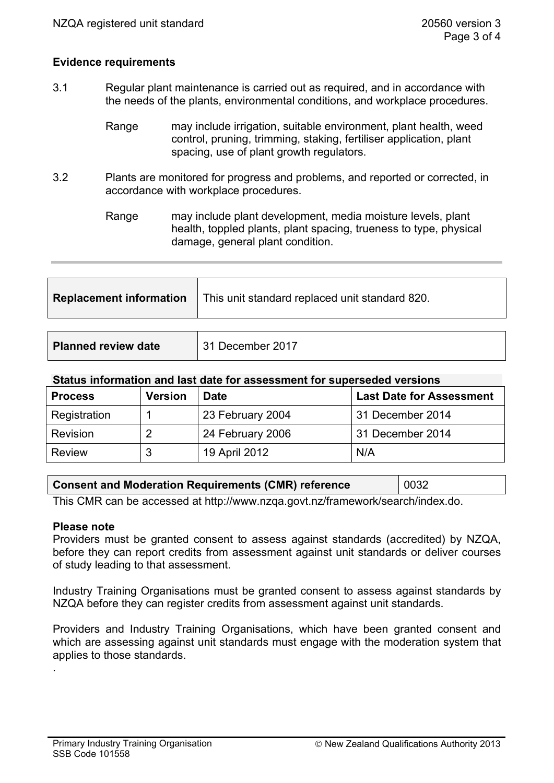### **Evidence requirements**

- 3.1 Regular plant maintenance is carried out as required, and in accordance with the needs of the plants, environmental conditions, and workplace procedures.
	- Range may include irrigation, suitable environment, plant health, weed control, pruning, trimming, staking, fertiliser application, plant spacing, use of plant growth regulators.
- 3.2 Plants are monitored for progress and problems, and reported or corrected, in accordance with workplace procedures.

Range may include plant development, media moisture levels, plant health, toppled plants, plant spacing, trueness to type, physical damage, general plant condition.

| <b>Replacement information</b> | This unit standard replaced unit standard 820. |  |
|--------------------------------|------------------------------------------------|--|
|                                |                                                |  |
| <b>Planned review date</b>     | 31 December 2017                               |  |

#### **Status information and last date for assessment for superseded versions**

| <b>Process</b> | <b>Version</b> | Date             | <b>Last Date for Assessment</b> |  |
|----------------|----------------|------------------|---------------------------------|--|
| Registration   |                | 23 February 2004 | 31 December 2014                |  |
| Revision       | 2              | 24 February 2006 | 31 December 2014                |  |
| <b>Review</b>  | 3              | 19 April 2012    | N/A                             |  |

| <b>Consent and Moderation Requirements (CMR) reference</b> |  | 0032 |
|------------------------------------------------------------|--|------|
|                                                            |  |      |

This CMR can be accessed at http://www.nzqa.govt.nz/framework/search/index.do.

#### **Please note**

.

Providers must be granted consent to assess against standards (accredited) by NZQA, before they can report credits from assessment against unit standards or deliver courses of study leading to that assessment.

Industry Training Organisations must be granted consent to assess against standards by NZQA before they can register credits from assessment against unit standards.

Providers and Industry Training Organisations, which have been granted consent and which are assessing against unit standards must engage with the moderation system that applies to those standards.